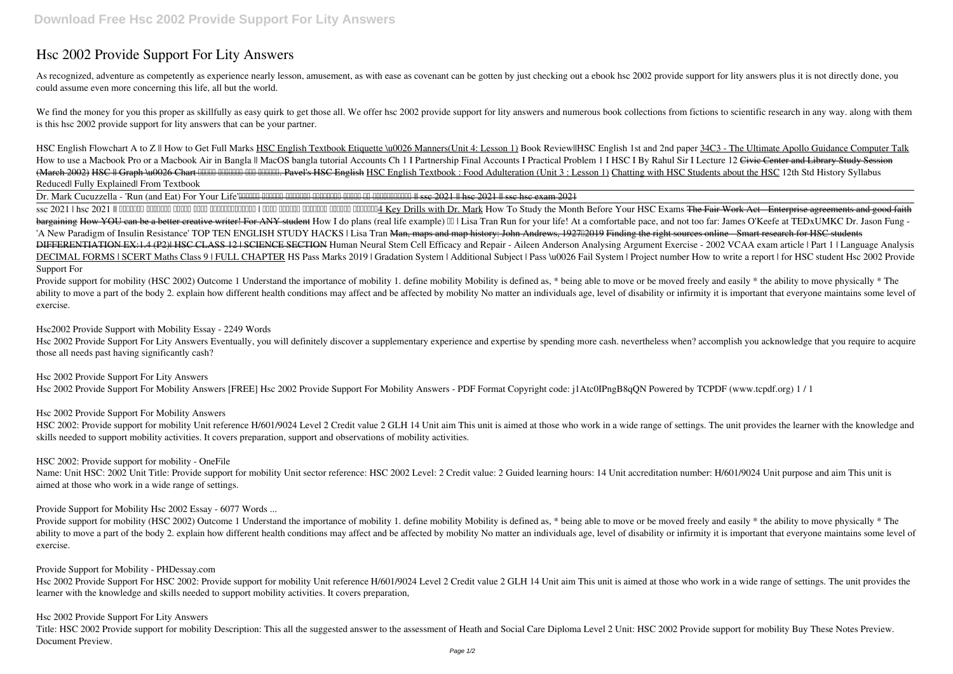## **Hsc 2002 Provide Support For Lity Answers**

As recognized, adventure as competently as experience nearly lesson, amusement, as with ease as covenant can be gotten by just checking out a ebook hsc 2002 provide support for lity answers plus it is not directly done, yo could assume even more concerning this life, all but the world.

We find the money for you this proper as skillfully as easy quirk to get those all. We offer hsc 2002 provide support for lity answers and numerous book collections from fictions to scientific research in any way. along wi is this hsc 2002 provide support for lity answers that can be your partner.

*HSC English Flowchart A to Z || How to Get Full Marks* HSC English Textbook Etiquette \u0026 Manners(Unit 4: Lesson 1) **Book Review||HSC English 1st and 2nd paper** 34C3 - The Ultimate Apollo Guidance Computer Talk How to use a Macbook Pro or a Macbook Air in Bangla || MacOS bangla tutorial Accounts Ch 1 I Partnership Final Accounts I Practical Problem 1 I HSC I By Rahul Sir I Lecture 12 Civie Center and Library Study Session (March 2002) HSC || Graph \u0026 Chart লেখার সবচেয়ে সহজ পদ্ধতি. Pavel's HSC English HSC English Textbook : Food Adulteration (Unit 3 : Lesson 1) Chatting with HSC Students about the HSC *12th Std History Syllabus Reduced| Fully Explained| From Textbook*

Dr. Mark Cucuzzella - 'Run (and Eat) For Your Life'অবশেষে এসএসসি এইচএসসি অটোপাসের পক্ষে মত শিক্ষাবিদগণ || ssc 2021 || hsc 2021 || ssc hsc exam 2021

Provide support for mobility (HSC 2002) Outcome 1 Understand the importance of mobility 1. define mobility Mobility is defined as, \* being able to move or be moved freely and easily \* the ability to move physically \* The ability to move a part of the body 2, explain how different health conditions may affect and be affected by mobility No matter an individuals age, level of disability or infirmity it is important that everyone maintains so exercise.

Hsc 2002 Provide Support For Lity Answers Eventually, you will definitely discover a supplementary experience and expertise by spending more cash. nevertheless when? accomplish you acknowledge that you require to acquire those all needs past having significantly cash?

HSC 2002: Provide support for mobility Unit reference H/601/9024 Level 2 Credit value 2 GLH 14 Unit aim This unit is aimed at those who work in a wide range of settings. The unit provides the learner with the knowledge and skills needed to support mobility activities. It covers preparation, support and observations of mobility activities.

ssc 2021 | hsc 2021 || মার্চেও খুলবেনা স্কুল কলেজ শিক্ষামন্ত্রী | এবার এসএসসি এইচএসসি অটোপাস নিশ্চিত4 Key Drills with Dr. Mark **How To Study the Month Before Your HSC Exams** The Fair Work Act - Enterprise agreements and good faith bargaining How YOU can be a better creative writer! For ANY student How I do plans (real life example) III Lisa Tran Run for your life! At a comfortable pace, and not too far: James O'Keefe at TEDxUMKC Dr. Jason Fung -'A New Paradigm of Insulin Resistance' TOP TEN ENGLISH STUDY HACKS | Lisa Tran <del>Man, maps and map history: John Andrews, 192702019 Finding the right sources online - Smart research for HSC students</del> DIFFERENTIATION EX:1.4 (P2)| HSC CLASS 12 | SCIENCE SECTION *Human Neural Stem Cell Efficacy and Repair - Aileen Anderson* **Analysing Argument Exercise - 2002 VCAA exam article | Part 1 | Language Analysis** DECIMAL FORMS | SCERT Maths Class 9 | FULL CHAPTER HS Pass Marks 2019 | Gradation System | Additional Subject | Pass \u0026 Fail System | Project number How to write a report | for HSC student Hsc 2002 Provide **Support For**

Name: Unit HSC: 2002 Unit Title: Provide support for mobility Unit sector reference: HSC 2002 Level: 2 Credit value: 2 Guided learning hours: 14 Unit accreditation number: H/601/9024 Unit purpose and aim This unit is aimed at those who work in a wide range of settings.

Provide support for mobility (HSC 2002) Outcome 1 Understand the importance of mobility 1. define mobility Mobility is defined as, \* being able to move or be moved freely and easily \* the ability to move physically \* The ability to move a part of the body 2. explain how different health conditions may affect and be affected by mobility No matter an individuals age, level of disability or infirmity it is important that everyone maintains so exercise.

Hsc 2002 Provide Support For HSC 2002: Provide support for mobility Unit reference H/601/9024 Level 2 Credit value 2 GLH 14 Unit aim This unit is aimed at those who work in a wide range of settings. The unit provides the learner with the knowledge and skills needed to support mobility activities. It covers preparation,

**Hsc2002 Provide Support with Mobility Essay - 2249 Words**

**Hsc 2002 Provide Support For Lity Answers**

Hsc 2002 Provide Support For Mobility Answers [FREE] Hsc 2002 Provide Support For Mobility Answers - PDF Format Copyright code: j1Atc0IPngB8qQN Powered by TCPDF (www.tcpdf.org) 1 / 1

**Hsc 2002 Provide Support For Mobility Answers**

**HSC 2002: Provide support for mobility - OneFile**

**Provide Support for Mobility Hsc 2002 Essay - 6077 Words ...**

**Provide Support for Mobility - PHDessay.com**

**Hsc 2002 Provide Support For Lity Answers**

Title: HSC 2002 Provide support for mobility Description: This all the suggested answer to the assessment of Heath and Social Care Diploma Level 2 Unit: HSC 2002 Provide support for mobility Buy These Notes Preview. Document Preview.